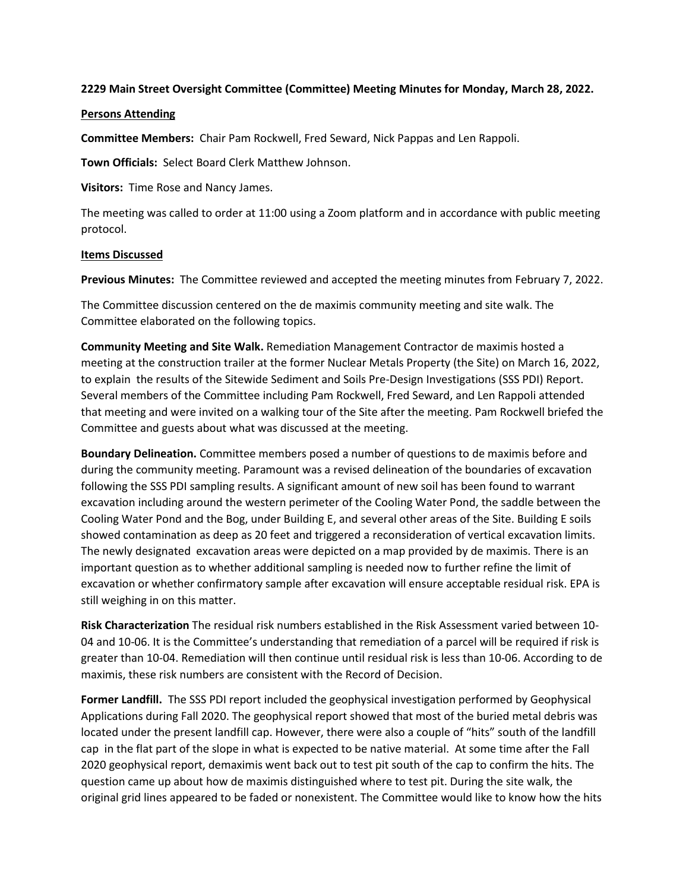## **2229 Main Street Oversight Committee (Committee) Meeting Minutes for Monday, March 28, 2022.**

## **Persons Attending**

**Committee Members:** Chair Pam Rockwell, Fred Seward, Nick Pappas and Len Rappoli.

**Town Officials:** Select Board Clerk Matthew Johnson.

**Visitors:** Time Rose and Nancy James.

The meeting was called to order at 11:00 using a Zoom platform and in accordance with public meeting protocol.

## **Items Discussed**

**Previous Minutes:** The Committee reviewed and accepted the meeting minutes from February 7, 2022.

The Committee discussion centered on the de maximis community meeting and site walk. The Committee elaborated on the following topics.

**Community Meeting and Site Walk.** Remediation Management Contractor de maximis hosted a meeting at the construction trailer at the former Nuclear Metals Property (the Site) on March 16, 2022, to explain the results of the Sitewide Sediment and Soils Pre-Design Investigations (SSS PDI) Report. Several members of the Committee including Pam Rockwell, Fred Seward, and Len Rappoli attended that meeting and were invited on a walking tour of the Site after the meeting. Pam Rockwell briefed the Committee and guests about what was discussed at the meeting.

**Boundary Delineation.** Committee members posed a number of questions to de maximis before and during the community meeting. Paramount was a revised delineation of the boundaries of excavation following the SSS PDI sampling results. A significant amount of new soil has been found to warrant excavation including around the western perimeter of the Cooling Water Pond, the saddle between the Cooling Water Pond and the Bog, under Building E, and several other areas of the Site. Building E soils showed contamination as deep as 20 feet and triggered a reconsideration of vertical excavation limits. The newly designated excavation areas were depicted on a map provided by de maximis. There is an important question as to whether additional sampling is needed now to further refine the limit of excavation or whether confirmatory sample after excavation will ensure acceptable residual risk. EPA is still weighing in on this matter.

**Risk Characterization** The residual risk numbers established in the Risk Assessment varied between 10- 04 and 10-06. It is the Committee's understanding that remediation of a parcel will be required if risk is greater than 10-04. Remediation will then continue until residual risk is less than 10-06. According to de maximis, these risk numbers are consistent with the Record of Decision.

**Former Landfill.** The SSS PDI report included the geophysical investigation performed by Geophysical Applications during Fall 2020. The geophysical report showed that most of the buried metal debris was located under the present landfill cap. However, there were also a couple of "hits" south of the landfill cap in the flat part of the slope in what is expected to be native material. At some time after the Fall 2020 geophysical report, demaximis went back out to test pit south of the cap to confirm the hits. The question came up about how de maximis distinguished where to test pit. During the site walk, the original grid lines appeared to be faded or nonexistent. The Committee would like to know how the hits